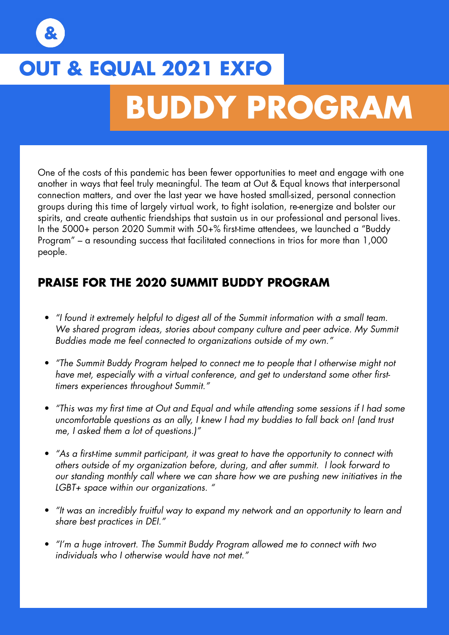# **OUT & EQUAL 2021 EXFO BUDDY PROGRAM**

One of the costs of this pandemic has been fewer opportunities to meet and engage with one another in ways that feel truly meaningful. The team at Out & Equal knows that interpersonal connection matters, and over the last year we have hosted small-sized, personal connection groups during this time of largely virtual work, to fight isolation, re-energize and bolster our spirits, and create authentic friendships that sustain us in our professional and personal lives. In the 5000+ person 2020 Summit with 50+% first-time attendees, we launched a "Buddy Program" – a resounding success that facilitated connections in trios for more than 1,000 people.

## **PRAISE FOR THE 2020 SUMMIT BUDDY PROGRAM**

- *"I found it extremely helpful to digest all of the Summit information with a small team.*  We shared program ideas, stories about company culture and peer advice. My Summit *Buddies made me feel connected to organizations outside of my own."*
- *"The Summit Buddy Program helped to connect me to people that I otherwise might not have met, especially with a virtual conference, and get to understand some other firsttimers experiences throughout Summit."*
- *"This was my first time at Out and Equal and while attending some sessions if I had some uncomfortable questions as an ally, I knew I had my buddies to fall back on! (and trust me, I asked them a lot of questions.)"*
- *"As a first-time summit participant, it was great to have the opportunity to connect with others outside of my organization before, during, and after summit. I look forward to our standing monthly call where we can share how we are pushing new initiatives in the LGBT+ space within our organizations. "*
- *"It was an incredibly fruitful way to expand my network and an opportunity to learn and share best practices in DEI."*
- *"I'm a huge introvert. The Summit Buddy Program allowed me to connect with two individuals who I otherwise would have not met."*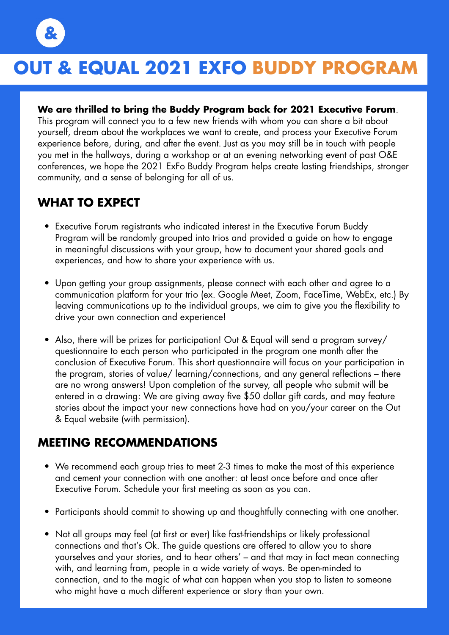

# **OUT & EQUAL 2021 EXFO BUDDY PROGRAM**

### **We are thrilled to bring the Buddy Program back for 2021 Executive Forum**.

This program will connect you to a few new friends with whom you can share a bit about yourself, dream about the workplaces we want to create, and process your Executive Forum experience before, during, and after the event. Just as you may still be in touch with people you met in the hallways, during a workshop or at an evening networking event of past O&E conferences, we hope the 2021 ExFo Buddy Program helps create lasting friendships, stronger community, and a sense of belonging for all of us.

# **WHAT TO EXPECT**

- Executive Forum registrants who indicated interest in the Executive Forum Buddy Program will be randomly grouped into trios and provided a guide on how to engage in meaningful discussions with your group, how to document your shared goals and experiences, and how to share your experience with us.
- Upon getting your group assignments, please connect with each other and agree to a communication platform for your trio (ex. Google Meet, Zoom, FaceTime, WebEx, etc.) By leaving communications up to the individual groups, we aim to give you the flexibility to drive your own connection and experience!
- Also, there will be prizes for participation! Out & Equal will send a program survey/ questionnaire to each person who participated in the program one month after the conclusion of Executive Forum. This short questionnaire will focus on your participation in the program, stories of value/ learning/connections, and any general reflections – there are no wrong answers! Upon completion of the survey, all people who submit will be entered in a drawing: We are giving away five \$50 dollar gift cards, and may feature stories about the impact your new connections have had on you/your career on the Out & Equal website (with permission).

## **MEETING RECOMMENDATIONS**

- We recommend each group tries to meet 2-3 times to make the most of this experience and cement your connection with one another: at least once before and once after Executive Forum. Schedule your first meeting as soon as you can.
- Participants should commit to showing up and thoughtfully connecting with one another.
- Not all groups may feel (at first or ever) like fast-friendships or likely professional connections and that's Ok. The guide questions are offered to allow you to share yourselves and your stories, and to hear others' – and that may in fact mean connecting with, and learning from, people in a wide variety of ways. Be open-minded to connection, and to the magic of what can happen when you stop to listen to someone who might have a much different experience or story than your own.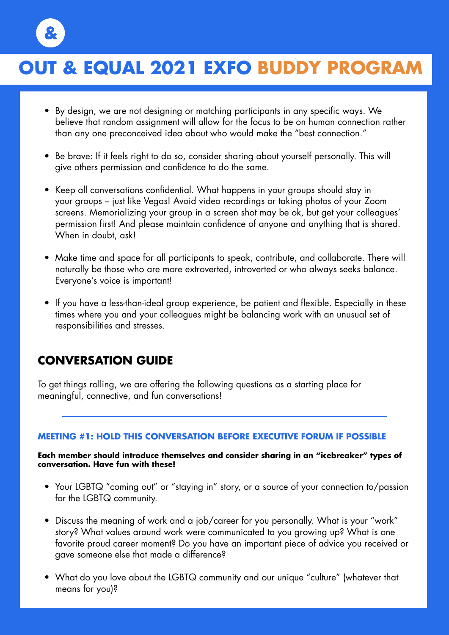# **OUT & EQUAL 2021 EXFO OUT & EQUAL 2021 EXFO BUDDY PROGRAM**

- By design, we are not designing or matching participants in any specific ways. We believe that random assignment will allow for the focus to be on human connection rather than any one preconceived idea about who would make the "best connection."
- Be brave: If it feels right to do so, consider sharing about yourself personally. This will give others permission and confidence to do the same.
- Keep all conversations confidential. What happens in your groups should stay in your groups – just like Vegas! Avoid video recordings or taking photos of your Zoom screens. Memorializing your group in a screen shot may be ok, but get your colleagues' permission first! And please maintain confidence of anyone and anything that is shared. When in doubt, ask!
- Make time and space for all participants to speak, contribute, and collaborate. There will naturally be those who are more extroverted, introverted or who always seeks balance. Everyone's voice is important!
- If you have a less-than-ideal group experience, be patient and flexible. Especially in these times where you and your colleagues might be balancing work with an unusual set of responsibilities and stresses.

## **CONVERSATION GUIDE**

To get things rolling, we are offering the following questions as a starting place for meaningful, connective, and fun conversations!

#### **MEETING #1: HOLD THIS CONVERSATION BEFORE EXECUTIVE FORUM IF POSSIBLE**

#### **Each member should introduce themselves and consider sharing in an "icebreaker" types of conversation. Have fun with these!**

- Your LGBTQ "coming out" or "staying in" story, or a source of your connection to/passion for the LGBTQ community.
- Discuss the meaning of work and a job/career for you personally. What is your "work" story? What values around work were communicated to you growing up? What is one favorite proud career moment? Do you have an important piece of advice you received or gave someone else that made a difference?
- What do you love about the LGBTQ community and our unique "culture" (whatever that means for you)?